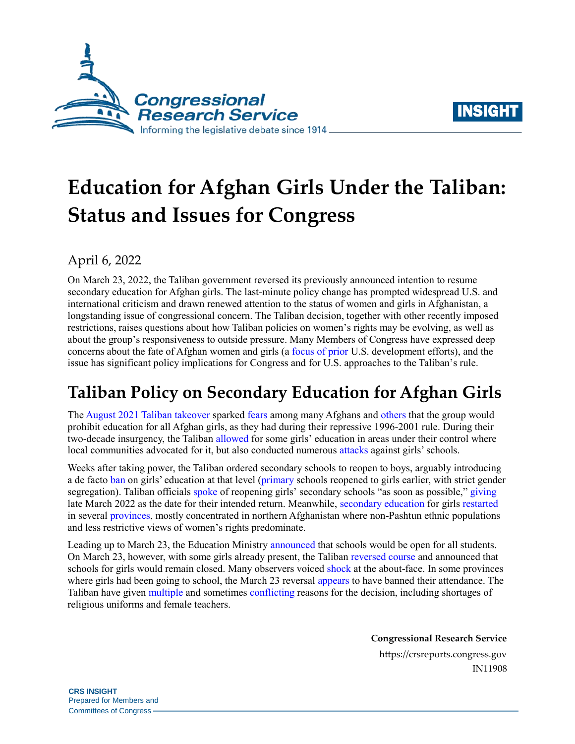



# **Education for Afghan Girls Under the Taliban: Status and Issues for Congress**

## April 6, 2022

On March 23, 2022, the Taliban government reversed its previously announced intention to resume secondary education for Afghan girls. The last-minute policy change has prompted widespread U.S. and international criticism and drawn renewed attention to the status of women and girls in Afghanistan, a longstanding issue of congressional concern. The Taliban decision, together with other recently imposed restrictions, raises questions about how Taliban policies on women's rights may be evolving, as well as about the group's responsiveness to outside pressure. Many Members of Congress have expressed deep concerns about the fate of Afghan women and girls (a [focus of prior](https://www.sigar.mil/interactive-reports/gender-equality/index.html) U.S. development efforts), and the issue has significant policy implications for Congress and for U.S. approaches to the Taliban's rule.

## **Taliban Policy on Secondary Education for Afghan Girls**

Th[e August 2021](https://crsreports.congress.gov/product/pdf/R/R46955) Taliban takeover sparked [fears](https://www.dw.com/en/afghan-girls-still-want-to-go-to-school/a-58932909) among many Afghans and [others](https://www.nytimes.com/2021/08/17/opinion/malala-afghanistan-taliban-women.html) that the group would prohibit education for all Afghan girls, as they had during their repressive 1996-2001 rule. During their two-decade insurgency, the Taliban [allowed](https://cdn.odi.org/media/documents/12269.pdf) for some girls' education in areas under their control where local communities advocated for it, but also conducted numerous [attacks](https://www.nytimes.com/2019/05/21/world/asia/taliban-girls-schools.html) against girls' schools.

Weeks after taking power, the Taliban ordered secondary schools to reopen to boys, arguably introducing a de facto [ban](https://www.theguardian.com/world/2021/sep/17/taliban-ban-girls-from-secondary-education-in-afghanistan) on girls' education at that level [\(primary](https://www.reuters.com/world/asia-pacific/some-afghan-girls-return-school-others-face-anxious-wait-2021-09-18/) schools reopened to girls earlier, with strict gender segregation). Taliban officials [spoke](https://www.ndtv.com/world-news/afghanistan-taliban-takeover-taliban-says-afghan-girls-to-return-to-schools-as-soon-as-possible-2548163) of reopening girls' secondary schools "as soon as possible,[" giving](https://www.voanews.com/a/the-ap-interview-taliban-pledge-all-girls-in-schools-soon/6398518.html) late March 2022 as the date for their intended return. Meanwhile, [secondary education](https://apnews.com/article/afghanistan-united-states-only-on-ap-kabul-taliban-c0475a3370ea219aabb3ded311911cc1) for girl[s restarted](https://www.reuters.com/world/asia-pacific/northern-afghanistan-girls-schools-working-despite-ban-elsewhere-2021-10-12/) in several [provinces,](https://www.afghanistan-analysts.org/en/reports/rights-freedom/who-gets-to-go-to-school-1-what-people-told-us-about-education-since-the-taleban-took-over/) mostly concentrated in northern Afghanistan where non-Pashtun ethnic populations and less restrictive views of women's rights predominate.

Leading up to March 23, the Education Ministry [announced](https://apnews.com/article/afghanistan-religion-education-kabul-taliban-cc3dfa0cd1c099bc83ad1d30d1ab614f) that schools would be open for all students. On March 23, however, with some girls already present, the Taliba[n reversed course](https://www.nytimes.com/2022/03/23/world/asia/afghanistan-girls-schools-taliban.html) and announced that schools for girls would remain closed. Many observers voiced [shock](https://www.washingtonpost.com/world/many-baffled-by-taliban-reneging-pledge-on-girls-education/2022/03/24/67778960-ab98-11ec-8a8e-9c6e9fc7a0de_story.html) at the about-face. In some provinces where girls had been going to school, the March 23 reversal [appears](https://tolonews.com/afghanistan-177296) to have banned their attendance. The Taliban have given [multiple](https://www.nytimes.com/2022/03/23/world/asia/afghanistan-girls-schools-taliban.html) and sometimes [conflicting](https://www.theguardian.com/global-development/2022/mar/25/taliban-u-turn-over-afghan-girls-education-reveals-deep-leadership-divisions-afghanistan) reasons for the decision, including shortages of religious uniforms and female teachers.

**Congressional Research Service**

https://crsreports.congress.gov IN11908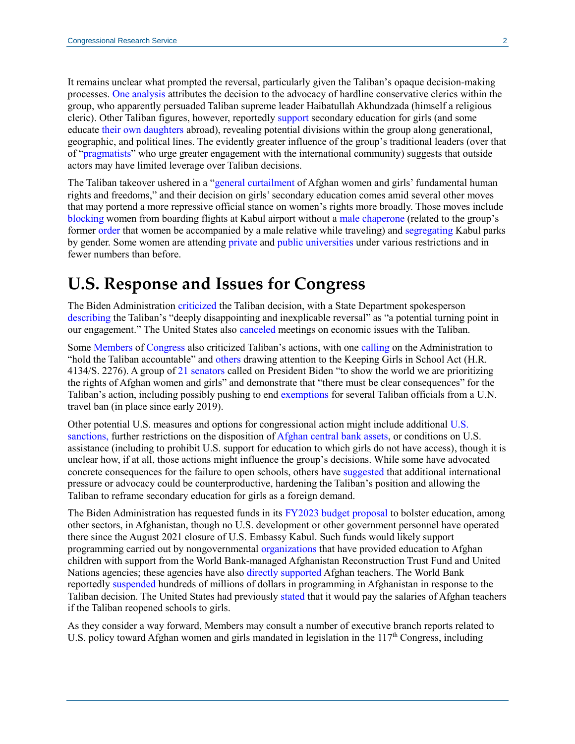It remains unclear what prompted the reversal, particularly given the Taliban's opaque decision-making processes[. One analysis](https://www.afghanistan-analysts.org/en/reports/rights-freedom/the-ban-on-older-girls-education-taleban-conservatives-ascendant-and-a-leadership-in-disarray/) attributes the decision to the advocacy of hardline conservative clerics within the group, who apparently persuaded Taliban supreme leader Haibatullah Akhundzada (himself a religious cleric). Other Taliban figures, however, reportedl[y support](https://www.theguardian.com/global-development/2022/mar/25/taliban-u-turn-over-afghan-girls-education-reveals-deep-leadership-divisions-afghanistan) secondary education for girls (and some educate [their own daughters](https://www.afghanistan-analysts.org/en/reports/rights-freedom/who-gets-to-go-to-school-3-are-taleban-attitudes-starting-to-change-from-within/) abroad), revealing potential divisions within the group along generational, geographic, and political lines. The evidently greater influence of the group's traditional leaders (over that of ["pragmatists"](https://apnews.com/article/afghanistan-taliban-70bf3af0a3ee5d7e876b1f1e35f71682) who urge greater engagement with the international community) suggests that outside actors may have limited leverage over Taliban decisions.

The Taliban takeover ushered in a ["general curtailment](https://www.unwomen.org/sites/default/files/2021-12/Gender-alert-Womens-rights-in-Afghanistan-en.pdf) of Afghan women and girls' fundamental human rights and freedoms," and their decision on girls' secondary education comes amid several other moves that may portend a more repressive official stance on women's rights more broadly. Those moves include [blocking](https://apnews.com/article/afghanistan-travel-business-pakistan-lifestyle-febfbef58116fd063e1a5ef780762e56) women from boarding flights at Kabul airport without [a male chaperone](https://www.reuters.com/world/asia-pacific/afghanistans-taliban-ban-women-flying-without-male-chaperone-sources-2022-03-27/) (related to the group's former [order](https://www.aljazeera.com/news/2021/12/26/afghanistan-long-distance-travel-women-without-male-escort-taliban) that women be accompanied by a male relative while traveling) an[d segregating](https://gandhara.rferl.org/a/taliban-gender-segregation-amusement-parks/31772871.html) Kabul parks by gender. Some women are attending [private](https://www.wsj.com/articles/afghanistans-taliban-allow-women-to-attend-universities-but-fear-keeps-most-at-home-11631285145) and [public universities](https://www.cnn.com/2022/02/03/asia/afghanistan-women-university-students-intl-hnk/index.html) under various restrictions and in fewer numbers than before.

## **U.S. Response and Issues for Congress**

The Biden Administration [criticized](https://www.theguardian.com/world/2022/mar/27/taliban-bar-girls-education-us-plan-diplomatic-recognition?ref=upstract.com&curator=upstract.com&utm_source=upstract.com) the Taliban decision, with a State Department spokesperson [describing](https://www.reuters.com/world/exclusive-us-officials-cancel-talks-with-taliban-over-bar-girls-education-state-2022-03-25/) the Taliban's "deeply disappointing and inexplicable reversal" as "a potential turning point in our engagement." The United States also [canceled](https://www.reuters.com/world/exclusive-us-officials-cancel-talks-with-taliban-over-bar-girls-education-state-2022-03-25/) meetings on economic issues with the Taliban.

Some [Members](https://www.ernst.senate.gov/public/index.cfm/2022/3/ernst-female-colleagues-slam-taliban-s-refusal-to-open-secondary-education-to-afghan-girls) of [Congress](https://omar.house.gov/media/press-releases/rep-omar-statement-taliban-barring-afghan-girls-attending-school-beyond-sixth) also criticized Taliban's actions, with one [calling](https://gop-foreignaffairs.house.gov/press-release/mccaul-on-taliban-refusing-education-to-women-and-girls/) on the Administration to "hold the Taliban accountable" and [others](https://frankel.house.gov/news/documentsingle.aspx?DocumentID=3436) drawing attention to the Keeping Girls in School Act [\(H.R.](http://www.congress.gov/cgi-lis/bdquery/z?d117:H.R.4134:)  [4134](http://www.congress.gov/cgi-lis/bdquery/z?d117:H.R.4134:)[/S. 2276\)](http://www.congress.gov/cgi-lis/bdquery/z?d117:S.2276:). A group of 21 [senators](https://www.shaheen.senate.gov/imo/media/doc/3.31.22%20Letter%20-%20Afghan%20Girls) called on President Biden "to show the world we are prioritizing the rights of Afghan women and girls" and demonstrate that "there must be clear consequences" for the Taliban's action, including possibly pushing to end [exemptions](https://www.un.org/securitycouncil/sanctions/1988/exemptions/travel-exemptions-in-effect) for several Taliban officials from a U.N. travel ban (in place since early 2019).

Other potential U.S. measures and options for congressional action might include additional [U.S.](https://crsreports.congress.gov/product/pdf/IF/IF12039)  [sanctions,](https://crsreports.congress.gov/product/pdf/IF/IF12039) further restrictions on the disposition of [Afghan central bank assets,](https://crsreports.congress.gov/product/pdf/IF/IF12052) or conditions on U.S. assistance (including to prohibit U.S. support for education to which girls do not have access), though it is unclear how, if at all, those actions might influence the group's decisions. While some have advocated concrete consequences for the failure to open schools, others have [suggested](https://www.afghanistan-analysts.org/en/reports/rights-freedom/the-ban-on-older-girls-education-taleban-conservatives-ascendant-and-a-leadership-in-disarray/) that additional international pressure or advocacy could be counterproductive, hardening the Taliban's position and allowing the Taliban to reframe secondary education for girls as a foreign demand.

The Biden Administration has requested funds in its [FY2023 budget](https://www.state.gov/wp-content/uploads/2022/03/FY-2023-Congressional-Budget-Justification_Final_03282022.pdf) proposal to bolster education, among other sectors, in Afghanistan, though no U.S. development or other government personnel have operated there since the August 2021 closure of U.S. Embassy Kabul. Such funds would likely support programming carried out by nongovernmental [organizations](https://reliefweb.int/sites/reliefweb.int/files/resources/AFGHANISTAN%20RESPONSE%20UPDATE%20MARCH%20FINAL.pdf) that have provided education to Afghan children with support from the World Bank-managed Afghanistan Reconstruction Trust Fund and United Nations agencies; these agencies have als[o directly supported](https://www.unicef.org/press-releases/unicef-provides-support-all-public-school-teachers-afghanistan-2-months) Afghan teachers. The World Bank reportedly [suspended](https://www.bbc.com/news/business-60923196) hundreds of millions of dollars in programming in Afghanistan in response to the Taliban decision. The United States had previously [stated](https://www.khaama.com/us-has-no-specified-schedule-for-recognition-of-taliban-special-envoy-876875/) that it would pay the salaries of Afghan teachers if the Taliban reopened schools to girls.

As they consider a way forward, Members may consult a number of executive branch reports related to U.S. policy toward Afghan women and girls mandated in legislation in the  $117<sup>th</sup>$  Congress, including